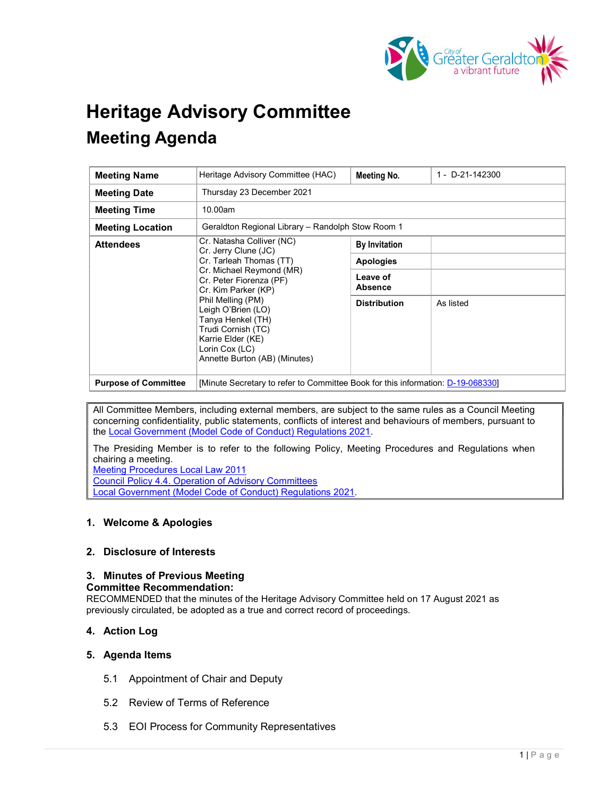

# Heritage Advisory Committee Meeting Agenda

| <b>Meeting Name</b>         | Heritage Advisory Committee (HAC)                                                                                                                                                                                                                                                                                        | <b>Meeting No.</b>         | 1 - D-21-142300 |
|-----------------------------|--------------------------------------------------------------------------------------------------------------------------------------------------------------------------------------------------------------------------------------------------------------------------------------------------------------------------|----------------------------|-----------------|
| <b>Meeting Date</b>         | Thursday 23 December 2021                                                                                                                                                                                                                                                                                                |                            |                 |
| <b>Meeting Time</b>         | 10.00am                                                                                                                                                                                                                                                                                                                  |                            |                 |
| <b>Meeting Location</b>     | Geraldton Regional Library – Randolph Stow Room 1                                                                                                                                                                                                                                                                        |                            |                 |
| <b>Attendees</b>            | Cr. Natasha Colliver (NC)<br>Cr. Jerry Clune (JC)<br>Cr. Tarleah Thomas (TT)<br>Cr. Michael Reymond (MR)<br>Cr. Peter Fiorenza (PF)<br>Cr. Kim Parker (KP)<br>Phil Melling (PM)<br>Leigh O'Brien (LO)<br>Tanya Henkel (TH)<br>Trudi Cornish (TC)<br>Karrie Elder (KE)<br>Lorin Cox (LC)<br>Annette Burton (AB) (Minutes) | <b>By Invitation</b>       |                 |
|                             |                                                                                                                                                                                                                                                                                                                          | <b>Apologies</b>           |                 |
|                             |                                                                                                                                                                                                                                                                                                                          | Leave of<br><b>Absence</b> |                 |
|                             |                                                                                                                                                                                                                                                                                                                          | <b>Distribution</b>        | As listed       |
| <b>Purpose of Committee</b> | [Minute Secretary to refer to Committee Book for this information: D-19-068330]                                                                                                                                                                                                                                          |                            |                 |

All Committee Members, including external members, are subject to the same rules as a Council Meeting concerning confidentiality, public statements, conflicts of interest and behaviours of members, pursuant to the Local Government (Model Code of Conduct) Regulations 2021.

The Presiding Member is to refer to the following Policy, Meeting Procedures and Regulations when chairing a meeting.

Meeting Procedures Local Law 2011

Council Policy 4.4. Operation of Advisory Committees

Local Government (Model Code of Conduct) Regulations 2021.

# 1. Welcome & Apologies

# 2. Disclosure of Interests

#### 3. Minutes of Previous Meeting Committee Recommendation:

RECOMMENDED that the minutes of the Heritage Advisory Committee held on 17 August 2021 as previously circulated, be adopted as a true and correct record of proceedings.

# 4. Action Log

# 5. Agenda Items

- 5.1 Appointment of Chair and Deputy
- 5.2 Review of Terms of Reference
- 5.3 EOI Process for Community Representatives